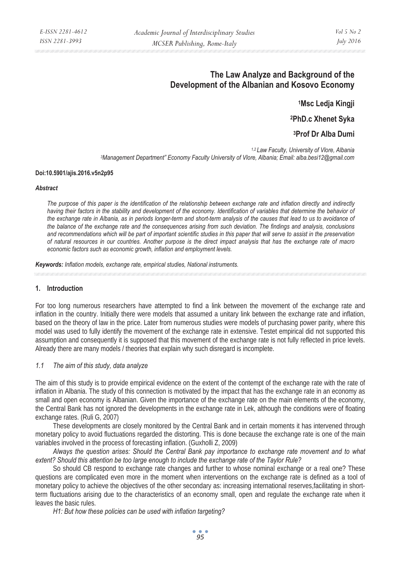# **The Law Analyze and Background of the Development of the Albanian and Kosovo Economy**

**1Msc Ledja Kingji** 

**2PhD.c Xhenet Syka** 

**3Prof Dr Alba Dumi** 

*1,2 Law Faculty, University of Vlore, Albania 3Management Department" Economy Faculty University of Vlore, Albania; Email: alba.besi12@gmail.com* 

### **Doi:10.5901/ajis.2016.v5n2p95**

### *Abstract*

*The purpose of this paper is the identification of the relationship between exchange rate and inflation directly and indirectly* having their factors in the stability and development of the economy. Identification of variables that determine the behavior of *the exchange rate in Albania, as in periods longer-term and short-term analysis of the causes that lead to us to avoidance of the balance of the exchange rate and the consequences arising from such deviation. The findings and analysis, conclusions*  and recommendations which will be part of important scientific studies in this paper that will serve to assist in the preservation *of natural resources in our countries. Another purpose is the direct impact analysis that has the exchange rate of macro economic factors such as economic growth, inflation and employment levels.* 

*Keywords: Inflation models, exchange rate, empirical studies, National instruments.*

### **1. Introduction**

For too long numerous researchers have attempted to find a link between the movement of the exchange rate and inflation in the country. Initially there were models that assumed a unitary link between the exchange rate and inflation, based on the theory of law in the price. Later from numerous studies were models of purchasing power parity, where this model was used to fully identify the movement of the exchange rate in extensive. Testet empirical did not supported this assumption and consequently it is supposed that this movement of the exchange rate is not fully reflected in price levels. Already there are many models / theories that explain why such disregard is incomplete.

## *1.1 The aim of this study, data analyze*

The aim of this study is to provide empirical evidence on the extent of the contempt of the exchange rate with the rate of inflation in Albania. The study of this connection is motivated by the impact that has the exchange rate in an economy as small and open economy is Albanian. Given the importance of the exchange rate on the main elements of the economy, the Central Bank has not ignored the developments in the exchange rate in Lek, although the conditions were of floating exchange rates. (Ruli G, 2007)

These developments are closely monitored by the Central Bank and in certain moments it has intervened through monetary policy to avoid fluctuations regarded the distorting. This is done because the exchange rate is one of the main variables involved in the process of forecasting inflation. (Guxholli Z, 2009)

*Always the question arises: Should the Central Bank pay importance to exchange rate movement and to what extent? Should this attention be too large enough to include the exchange rate of the Taylor Rule?* 

So should CB respond to exchange rate changes and further to whose nominal exchange or a real one? These questions are complicated even more in the moment when interventions on the exchange rate is defined as a tool of monetary policy to achieve the objectives of the other secondary as: increasing international reserves,facilitating in shortterm fluctuations arising due to the characteristics of an economy small, open and regulate the exchange rate when it leaves the basic rules.

*H1: But how these policies can be used with inflation targeting?*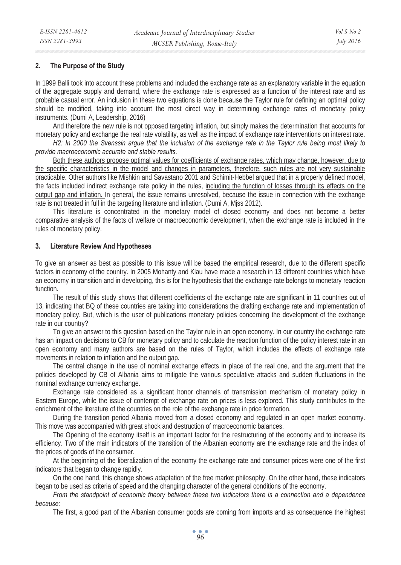# **2. The Purpose of the Study**

In 1999 Balli took into account these problems and included the exchange rate as an explanatory variable in the equation of the aggregate supply and demand, where the exchange rate is expressed as a function of the interest rate and as probable casual error. An inclusion in these two equations is done because the Taylor rule for defining an optimal policy should be modified, taking into account the most direct way in determining exchange rates of monetary policy instruments. (Dumi A, Leadership, 2016)

And therefore the new rule is not opposed targeting inflation, but simply makes the determination that accounts for monetary policy and exchange the real rate volatility, as well as the impact of exchange rate interventions on interest rate.

*H2: In 2000 the Svenssin argue that the inclusion of the exchange rate in the Taylor rule being most likely to provide macroeconomic accurate and stable results.* 

Both these authors propose optimal values for coefficients of exchange rates, which may change, however, due to the specific characteristics in the model and changes in parameters, therefore, such rules are not very sustainable practicable. Other authors like Mishkin and Savastano 2001 and Schimit-Hebbel argued that in a properly defined model, the facts included indirect exchange rate policy in the rules, including the function of losses through its effects on the output gap and inflation. In general, the issue remains unresolved, because the issue in connection with the exchange rate is not treated in full in the targeting literature and inflation. (Dumi A, Mjss 2012).

This literature is concentrated in the monetary model of closed economy and does not become a better comparative analysis of the facts of welfare or macroeconomic development, when the exchange rate is included in the rules of monetary policy.

### **3. Literature Review And Hypotheses**

To give an answer as best as possible to this issue will be based the empirical research, due to the different specific factors in economy of the country. In 2005 Mohanty and Klau have made a research in 13 different countries which have an economy in transition and in developing, this is for the hypothesis that the exchange rate belongs to monetary reaction function.

The result of this study shows that different coefficients of the exchange rate are significant in 11 countries out of 13, indicating that BQ of these countries are taking into considerations the drafting exchange rate and implementation of monetary policy. But, which is the user of publications monetary policies concerning the development of the exchange rate in our country?

To give an answer to this question based on the Taylor rule in an open economy. In our country the exchange rate has an impact on decisions to CB for monetary policy and to calculate the reaction function of the policy interest rate in an open economy and many authors are based on the rules of Taylor, which includes the effects of exchange rate movements in relation to inflation and the output gap.

The central change in the use of nominal exchange effects in place of the real one, and the argument that the policies developed by CB of Albania aims to mitigate the various speculative attacks and sudden fluctuations in the nominal exchange currency exchange.

Exchange rate considered as a significant honor channels of transmission mechanism of monetary policy in Eastern Europe, while the issue of contempt of exchange rate on prices is less explored. This study contributes to the enrichment of the literature of the countries on the role of the exchange rate in price formation.

During the transition period Albania moved from a closed economy and regulated in an open market economy. This move was accompanied with great shock and destruction of macroeconomic balances.

The Opening of the economy itself is an important factor for the restructuring of the economy and to increase its efficiency. Two of the main indicators of the transition of the Albanian economy are the exchange rate and the index of the prices of goods of the consumer.

At the beginning of the liberalization of the economy the exchange rate and consumer prices were one of the first indicators that began to change rapidly.

On the one hand, this change shows adaptation of the free market philosophy. On the other hand, these indicators began to be used as criteria of speed and the changing character of the general conditions of the economy.

*From the standpoint of economic theory between these two indicators there is a connection and a dependence because:* 

The first, a good part of the Albanian consumer goods are coming from imports and as consequence the highest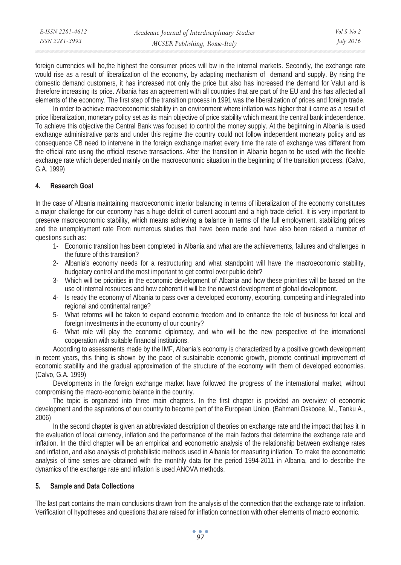| ISSN 2281-3993 | E-ISSN 2281-4612 | Academic Journal of Interdisciplinary Studies | Vol 5 No 2       |
|----------------|------------------|-----------------------------------------------|------------------|
|                |                  | MCSER Publishing, Rome-Italy                  | <i>July</i> 2016 |

foreign currencies will be,the highest the consumer prices will bw in the internal markets. Secondly, the exchange rate would rise as a result of liberalization of the economy, by adapting mechanism of demand and supply. By rising the domestic demand customers, it has increased not only the price but also has increased the demand for Valut and is therefore increasing its price. Albania has an agreement with all countries that are part of the EU and this has affected all elements of the economy. The first step of the transition process in 1991 was the liberalization of prices and foreign trade.

In order to achieve macroeconomic stability in an environment where inflation was higher that it came as a result of price liberalization, monetary policy set as its main objective of price stability which meant the central bank independence. To achieve this objective the Central Bank was focused to control the money supply. At the beginning in Albania is used exchange administrative parts and under this regime the country could not follow independent monetary policy and as consequence CB need to intervene in the foreign exchange market every time the rate of exchange was different from the official rate using the official reserve transactions. After the transition in Albania began to be used with the flexible exchange rate which depended mainly on the macroeconomic situation in the beginning of the transition process. (Calvo, G.A. 1999)

# **4. Research Goal**

In the case of Albania maintaining macroeconomic interior balancing in terms of liberalization of the economy constitutes a major challenge for our economy has a huge deficit of current account and a high trade deficit. It is very important to preserve macroeconomic stability, which means achieving a balance in terms of the full employment, stabilizing prices and the unemployment rate From numerous studies that have been made and have also been raised a number of questions such as:

- 1- Economic transition has been completed in Albania and what are the achievements, failures and challenges in the future of this transition?
- 2- Albania's economy needs for a restructuring and what standpoint will have the macroeconomic stability, budgetary control and the most important to get control over public debt?
- 3- Which will be priorities in the economic development of Albania and how these priorities will be based on the use of internal resources and how coherent it will be the newest development of global development.
- 4- Is ready the economy of Albania to pass over a developed economy, exporting, competing and integrated into regional and continental range?
- 5- What reforms will be taken to expand economic freedom and to enhance the role of business for local and foreign investments in the economy of our country?
- 6- What role will play the economic diplomacy, and who will be the new perspective of the international cooperation with suitable financial institutions.

According to assessments made by the IMF, Albania's economy is characterized by a positive growth development in recent years, this thing is shown by the pace of sustainable economic growth, promote continual improvement of economic stability and the gradual approximation of the structure of the economy with them of developed economies. (Calvo, G.A. 1999)

Developments in the foreign exchange market have followed the progress of the international market, without compromising the macro-economic balance in the country.

The topic is organized into three main chapters. In the first chapter is provided an overview of economic development and the aspirations of our country to become part of the European Union. (Bahmani Oskooee, M., Tanku A., 2006)

In the second chapter is given an abbreviated description of theories on exchange rate and the impact that has it in the evaluation of local currency, inflation and the performance of the main factors that determine the exchange rate and inflation. In the third chapter will be an empirical and econometric analysis of the relationship between exchange rates and inflation, and also analysis of probabilistic methods used in Albania for measuring inflation. To make the econometric analysis of time series are obtained with the monthly data for the period 1994-2011 in Albania, and to describe the dynamics of the exchange rate and inflation is used ANOVA methods.

# **5. Sample and Data Collections**

The last part contains the main conclusions drawn from the analysis of the connection that the exchange rate to inflation. Verification of hypotheses and questions that are raised for inflation connection with other elements of macro economic.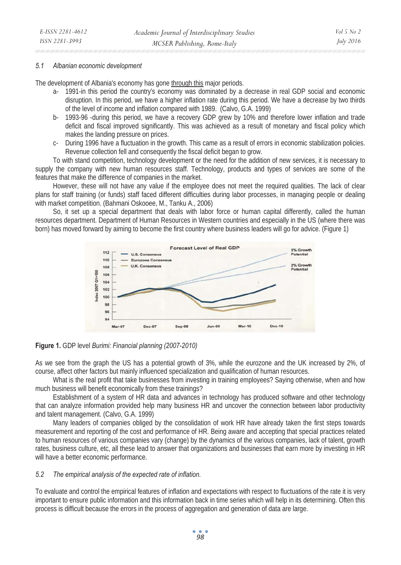### *5.1 Albanian economic development*

The development of Albania's economy has gone through this major periods.

- a- 1991-in this period the country's economy was dominated by a decrease in real GDP social and economic disruption. In this period, we have a higher inflation rate during this period. We have a decrease by two thirds of the level of income and inflation compared with 1989. (Calvo, G.A. 1999)
- b- 1993-96 -during this period, we have a recovery GDP grew by 10% and therefore lower inflation and trade deficit and fiscal improved significantly. This was achieved as a result of monetary and fiscal policy which makes the landing pressure on prices.
- c- During 1996 have a fluctuation in the growth. This came as a result of errors in economic stabilization policies. Revenue collection fell and consequently the fiscal deficit began to grow.

To with stand competition, technology development or the need for the addition of new services, it is necessary to supply the company with new human resources staff. Technology, products and types of services are some of the features that make the difference of companies in the market.

However, these will not have any value if the employee does not meet the required qualities. The lack of clear plans for staff training (or funds) staff faced different difficulties during labor processes, in managing people or dealing with market competition. (Bahmani Oskooee, M., Tanku A., 2006)

So, it set up a special department that deals with labor force or human capital differently, called the human resources department. Department of Human Resources in Western countries and especially in the US (where there was born) has moved forward by aiming to become the first country where business leaders will go for advice. (Figure 1)



**Figure 1.** GDP level *Burimi: Financial planning (2007-2010)*

As we see from the graph the US has a potential growth of 3%, while the eurozone and the UK increased by 2%, of course, affect other factors but mainly influenced specialization and qualification of human resources.

What is the real profit that take businesses from investing in training employees? Saying otherwise, when and how much business will benefit economically from these trainings?

Establishment of a system of HR data and advances in technology has produced software and other technology that can analyze information provided help many business HR and uncover the connection between labor productivity and talent management. (Calvo, G.A. 1999)

Many leaders of companies obliged by the consolidation of work HR have already taken the first steps towards measurement and reporting of the cost and performance of HR. Being aware and accepting that special practices related to human resources of various companies vary (change) by the dynamics of the various companies, lack of talent, growth rates, business culture, etc, all these lead to answer that organizations and businesses that earn more by investing in HR will have a better economic performance.

# *5.2 The empirical analysis of the expected rate of inflation.*

To evaluate and control the empirical features of inflation and expectations with respect to fluctuations of the rate it is very important to ensure public information and this information back in time series which will help in its determining. Often this process is difficult because the errors in the process of aggregation and generation of data are large.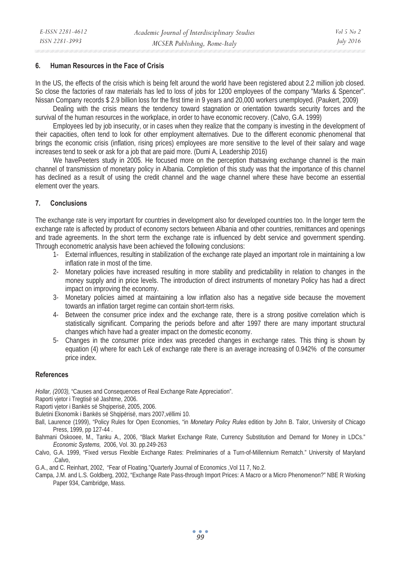### **6. Human Resources in the Face of Crisis**

In the US, the effects of the crisis which is being felt around the world have been registered about 2.2 million job closed. So close the factories of raw materials has led to loss of jobs for 1200 employees of the company "Marks & Spencer". Nissan Company records \$ 2.9 billion loss for the first time in 9 years and 20,000 workers unemployed. (Paukert, 2009)

Dealing with the crisis means the tendency toward stagnation or orientation towards security forces and the survival of the human resources in the workplace, in order to have economic recovery. (Calvo, G.A. 1999)

Employees led by job insecurity, or in cases when they realize that the company is investing in the development of their capacities, often tend to look for other employment alternatives. Due to the different economic phenomenal that brings the economic crisis (inflation, rising prices) employees are more sensitive to the level of their salary and wage increases tend to seek or ask for a job that are paid more. (Dumi A, Leadership 2016)

We havePeeters study in 2005. He focused more on the perception thatsaving exchange channel is the main channel of transmission of monetary policy in Albania. Completion of this study was that the importance of this channel has declined as a result of using the credit channel and the wage channel where these have become an essential element over the years.

# **7. Conclusions**

The exchange rate is very important for countries in development also for developed countries too. In the longer term the exchange rate is affected by product of economy sectors between Albania and other countries, remittances and openings and trade agreements. In the short term the exchange rate is influenced by debt service and government spending. Through econometric analysis have been achieved the following conclusions:

- 1- External influences, resulting in stabilization of the exchange rate played an important role in maintaining a low inflation rate in most of the time.
- 2- Monetary policies have increased resulting in more stability and predictability in relation to changes in the money supply and in price levels. The introduction of direct instruments of monetary Policy has had a direct impact on improving the economy.
- 3- Monetary policies aimed at maintaining a low inflation also has a negative side because the movement towards an inflation target regime can contain short-term risks.
- 4- Between the consumer price index and the exchange rate, there is a strong positive correlation which is statistically significant. Comparing the periods before and after 1997 there are many important structural changes which have had a greater impact on the domestic economy.
- 5- Changes in the consumer price index was preceded changes in exchange rates. This thing is shown by equation (4) where for each Lek of exchange rate there is an average increasing of 0.942% of the consumer price index.

### **References**

*Hollar, (2003),* "Causes and Consequences of Real Exchange Rate Appreciation".

Raporti vjetor i Tregtisë së Jashtme, 2006.

Raporti vjetor i Bankës së Shqiperisë, 2005, 2006.

Buletini Ekonomik i Bankës së Shqipërisë, mars 2007,vëllimi 10.

Ball, Laurence (1999), "Policy Rules for Open Economies, "in *Monetary Policy Rules* edition by John B. Talor, University of Chicago Press, 1999, pp 127-44 .

Bahmani Oskooee, M., Tanku A., 2006, "Black Market Exchange Rate, Currency Substitution and Demand for Money in LDCs." *Economic Systems,* 2006, Vol. 30. pp.249-263

Calvo, G.A. 1999, "Fixed versus Flexible Exchange Rates: Preliminaries of a Turn-of-Millennium Rematch." University of Maryland .Calvo,

G.A., and C. Reinhart, 2002, "Fear of Floating."Quarterly Journal of Economics ,Vol 11 7, No.2.

Campa, J.M. and L.S. Goldberg, 2002, "Exchange Rate Pass-through Import Prices: A Macro or a Micro Phenomenon?" NBE R Working Paper 934, Cambridge, Mass.